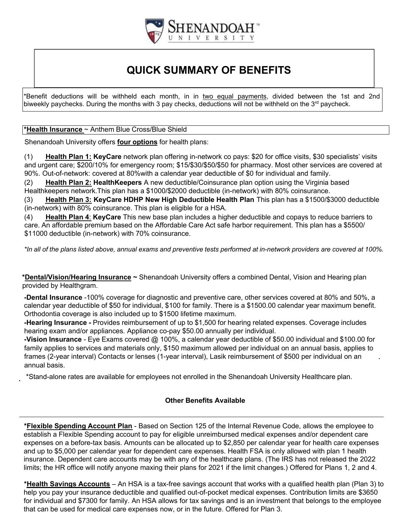

## **QUICK SUMMARY OF BENEFITS**

\*Benefit deductions will be withheld each month, in in two equal payments, divided between the 1st and 2nd biweekly paychecks. During the months with 3 pay checks, deductions will not be withheld on the  $3^{rd}$  paycheck.

## **\*Health Insurance** ~ Anthem Blue Cross/Blue Shield

Shenandoah University offers **four options** for health plans:

(1) **Health Plan 1: KeyCare** network plan offering in-network co pays: \$20 for office visits, \$30 specialists' visits and urg*e*nt care; \$200/10% for emergency room; \$15/\$30/\$50/\$50 for pharmacy. Most other services are covered at 90%. Out-of-network: covered at 80%with a calendar year deductible of \$0 for individual and family.

(2) **Health Plan 2: HealthKeepers** A new deductible/Coinsurance plan option using the Virginia based Healthkeepers network.This plan has a \$1000/\$2000 deductible (in-network) with 80% coinsurance.

(3) **Health Plan 3: KeyCare HDHP New High Deductible Health Plan** This plan has a \$1500/\$3000 deductible (in-network) with 80% coinsurance. This plan is eligible for a HSA.

(4) **Health Plan 4**: **KeyCare** This new base plan includes a higher deductible and copays to reduce barriers to care. An affordable premium based on the Affordable Care Act safe harbor requirement. This plan has a \$5500/ \$11000 deductible (in-network) with 70% coinsurance.

\*In all of the plans listed above, annual exams and preventive tests performed at in-network providers are covered at 100%.

**\*Dental/Vision/Hearing Insurance ~** Shenandoah University offers a combined Dental, Vision and Hearing plan provided by Healthgram.

**-Dental Insurance** -100% coverage for diagnostic and preventive care, other services covered at 80% and 50%, a calendar year deductible of \$50 for individual, \$100 for family. There is a \$1500.00 calendar year maximum benefit. Orthodontia coverage is also included up to \$1500 lifetime maximum.

**-Hearing Insurance -** Provides reimbursement of up to \$1,500 for hearing related expenses. Coverage includes hearing exam and/or appliances. Appliance co-pay \$50.00 annually per individual.

**-Vision Insurance** - Eye Exams covered @ 100%, a calendar year deductible of \$50.00 individual and \$100.00 for family applies to services and materials only, \$150 maximum allowed per individual on an annual basis, applies to frames (2-year interval) Contacts or lenses (1-year interval), Lasik reimbursement of \$500 per individual on an annual basis.

\*Stand-alone rates are available for employees not enrolled in the Shenandoah University Healthcare plan.

## **Other Benefits Available**

**\*Flexible Spending Account Plan** - Based on Section 125 of the Internal Revenue Code, allows the employee to establish a Flexible Spending account to pay for eligible unreimbursed medical expenses and/or dependent care expenses on a before-tax basis. Amounts can be allocated up to \$2,850 per calendar year for health care expenses and up to \$5,000 per calendar year for dependent care expenses. Health FSA is only allowed with plan 1 health insurance. Dependent care accounts may be with any of the healthcare plans. (The IRS has not released the 2022 limits; the HR office will notify anyone maxing their plans for 2021 if the limit changes.) Offered for Plans 1, 2 and 4.

**\*Health Savings Accounts** – An HSA is a tax-free savings account that works with a qualified health plan (Plan 3) to help you pay your insurance deductible and qualified out-of-pocket medical expenses. Contribution limits are \$3650 for individual and \$7300 for family. An HSA allows for tax savings and is an investment that belongs to the employee that can be used for medical care expenses now, or in the future. Offered for Plan 3.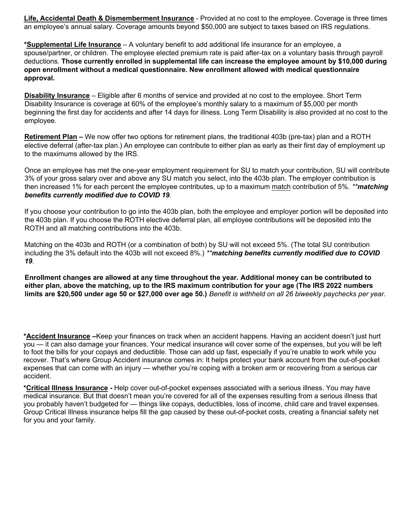**Life, Accidental Death & Dismemberment Insurance** - Provided at no cost to the employee. Coverage is three times an employee's annual salary. Coverage amounts beyond \$50,000 are subject to taxes based on IRS regulations.

**\*Supplemental Life Insurance** – A voluntary benefit to add additional life insurance for an employee, a spouse/partner, or children. The employee elected premium rate is paid after-tax on a voluntary basis through payroll deductions. **Those currently enrolled in supplemental life can increase the employee amount by \$10,000 during open enrollment without a medical questionnaire. New enrollment allowed with medical questionnaire approval.**

**Disability Insurance** – Eligible after 6 months of service and provided at no cost to the employee. Short Term Disability Insurance is coverage at 60% of the employee's monthly salary to a maximum of \$5,000 per month beginning the first day for accidents and after 14 days for illness. Long Term Disability is also provided at no cost to the employee.

**Retirement Plan –** We now offer two options for retirement plans, the traditional 403b (pre-tax) plan and a ROTH elective deferral (after-tax plan.) An employee can contribute to either plan as early as their first day of employment up to the maximums allowed by the IRS.

Once an employee has met the one-year employment requirement for SU to match your contribution, SU will contribute 3% of your gross salary over and above any SU match you select, into the 403b plan. The employer contribution is then increased 1% for each percent the employee contributes, up to a maximum match contribution of 5%. *\*\*matching benefits currently modified due to COVID 19.* 

If you choose your contribution to go into the 403b plan, both the employee and employer portion will be deposited into the 403b plan. If you choose the ROTH elective deferral plan, all employee contributions will be deposited into the ROTH and all matching contributions into the 403b.

Matching on the 403b and ROTH (or a combination of both) by SU will not exceed 5%. (The total SU contribution including the 3% default into the 403b will not exceed 8%.) *\*\*matching benefits currently modified due to COVID 19.* 

**Enrollment changes are allowed at any time throughout the year. Additional money can be contributed to either plan, above the matching, up to the IRS maximum contribution for your age (The IRS 2022 numbers**  limits are \$20,500 under age 50 or \$27,000 over age 50.) Benefit is withheld on all 26 biweekly paychecks per year.

**\*Accident Insurance –**Keep your finances on track when an accident happens. Having an accident doesn't just hurt you — it can also damage your finances. Your medical insurance will cover some of the expenses, but you will be left to foot the bills for your copays and deductible. Those can add up fast, especially if you're unable to work while you recover. That's where Group Accident insurance comes in: It helps protect your bank account from the out-of-pocket expenses that can come with an injury — whether you're coping with a broken arm or recovering from a serious car accident.

**\*Critical Illness Insurance -** Help cover out-of-pocket expenses associated with a serious illness. You may have medical insurance. But that doesn't mean you're covered for all of the expenses resulting from a serious illness that you probably haven't budgeted for — things like copays, deductibles, loss of income, child care and travel expenses. Group Critical Illness insurance helps fill the gap caused by these out-of-pocket costs, creating a financial safety net for you and your family.